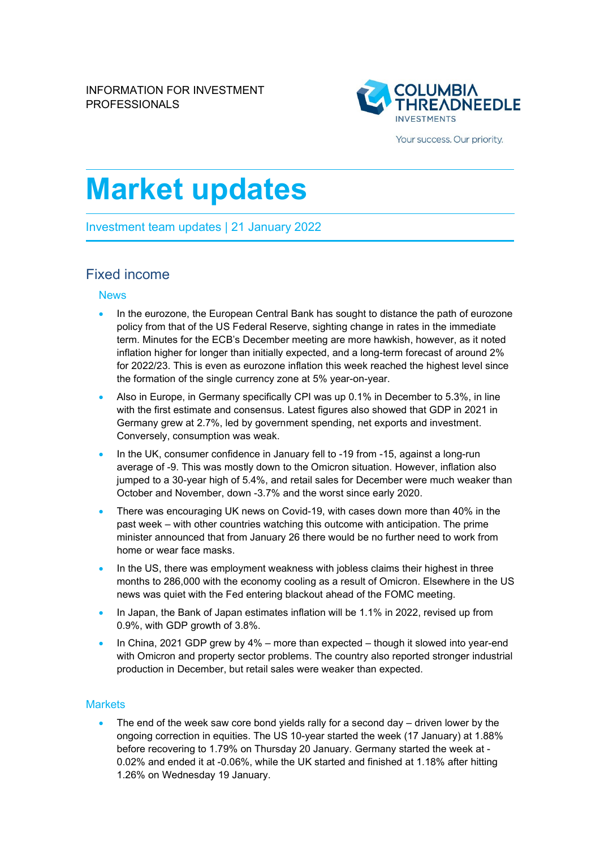

Your success. Our priority.

# **Market updates**

Investment team updates | 21 January 2022

## Fixed income

### News

- In the eurozone, the European Central Bank has sought to distance the path of eurozone policy from that of the US Federal Reserve, sighting change in rates in the immediate term. Minutes for the ECB's December meeting are more hawkish, however, as it noted inflation higher for longer than initially expected, and a long-term forecast of around 2% for 2022/23. This is even as eurozone inflation this week reached the highest level since the formation of the single currency zone at 5% year-on-year.
- Also in Europe, in Germany specifically CPI was up 0.1% in December to 5.3%, in line with the first estimate and consensus. Latest figures also showed that GDP in 2021 in Germany grew at 2.7%, led by government spending, net exports and investment. Conversely, consumption was weak.
- In the UK, consumer confidence in January fell to -19 from -15, against a long-run average of -9. This was mostly down to the Omicron situation. However, inflation also jumped to a 30-year high of 5.4%, and retail sales for December were much weaker than October and November, down -3.7% and the worst since early 2020.
- There was encouraging UK news on Covid-19, with cases down more than 40% in the past week – with other countries watching this outcome with anticipation. The prime minister announced that from January 26 there would be no further need to work from home or wear face masks.
- In the US, there was employment weakness with jobless claims their highest in three months to 286,000 with the economy cooling as a result of Omicron. Elsewhere in the US news was quiet with the Fed entering blackout ahead of the FOMC meeting.
- In Japan, the Bank of Japan estimates inflation will be 1.1% in 2022, revised up from 0.9%, with GDP growth of 3.8%.
- In China, 2021 GDP grew by 4% more than expected though it slowed into year-end with Omicron and property sector problems. The country also reported stronger industrial production in December, but retail sales were weaker than expected.

#### **Markets**

The end of the week saw core bond yields rally for a second day  $-$  driven lower by the ongoing correction in equities. The US 10-year started the week (17 January) at 1.88% before recovering to 1.79% on Thursday 20 January. Germany started the week at - 0.02% and ended it at -0.06%, while the UK started and finished at 1.18% after hitting 1.26% on Wednesday 19 January.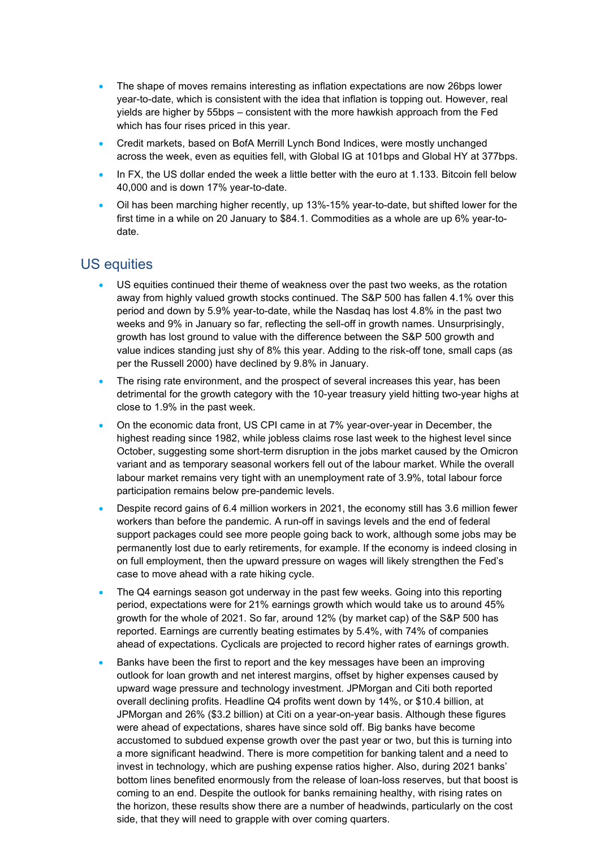- The shape of moves remains interesting as inflation expectations are now 26bps lower year-to-date, which is consistent with the idea that inflation is topping out. However, real yields are higher by 55bps – consistent with the more hawkish approach from the Fed which has four rises priced in this year.
- Credit markets, based on BofA Merrill Lynch Bond Indices, were mostly unchanged across the week, even as equities fell, with Global IG at 101bps and Global HY at 377bps.
- In FX, the US dollar ended the week a little better with the euro at 1.133. Bitcoin fell below 40,000 and is down 17% year-to-date.
- Oil has been marching higher recently, up 13%-15% year-to-date, but shifted lower for the first time in a while on 20 January to \$84.1. Commodities as a whole are up 6% year-todate.

## US equities

- US equities continued their theme of weakness over the past two weeks, as the rotation away from highly valued growth stocks continued. The S&P 500 has fallen 4.1% over this period and down by 5.9% year-to-date, while the Nasdaq has lost 4.8% in the past two weeks and 9% in January so far, reflecting the sell-off in growth names. Unsurprisingly, growth has lost ground to value with the difference between the S&P 500 growth and value indices standing just shy of 8% this year. Adding to the risk-off tone, small caps (as per the Russell 2000) have declined by 9.8% in January.
- The rising rate environment, and the prospect of several increases this year, has been detrimental for the growth category with the 10-year treasury yield hitting two-year highs at close to 1.9% in the past week.
- On the economic data front, US CPI came in at 7% year-over-year in December, the highest reading since 1982, while jobless claims rose last week to the highest level since October, suggesting some short-term disruption in the jobs market caused by the Omicron variant and as temporary seasonal workers fell out of the labour market. While the overall labour market remains very tight with an unemployment rate of 3.9%, total labour force participation remains below pre-pandemic levels.
- Despite record gains of 6.4 million workers in 2021, the economy still has 3.6 million fewer workers than before the pandemic. A run-off in savings levels and the end of federal support packages could see more people going back to work, although some jobs may be permanently lost due to early retirements, for example. If the economy is indeed closing in on full employment, then the upward pressure on wages will likely strengthen the Fed's case to move ahead with a rate hiking cycle.
- The Q4 earnings season got underway in the past few weeks. Going into this reporting period, expectations were for 21% earnings growth which would take us to around 45% growth for the whole of 2021. So far, around 12% (by market cap) of the S&P 500 has reported. Earnings are currently beating estimates by 5.4%, with 74% of companies ahead of expectations. Cyclicals are projected to record higher rates of earnings growth.
- Banks have been the first to report and the key messages have been an improving outlook for loan growth and net interest margins, offset by higher expenses caused by upward wage pressure and technology investment. JPMorgan and Citi both reported overall declining profits. Headline Q4 profits went down by 14%, or \$10.4 billion, at JPMorgan and 26% (\$3.2 billion) at Citi on a year-on-year basis. Although these figures were ahead of expectations, shares have since sold off. Big banks have become accustomed to subdued expense growth over the past year or two, but this is turning into a more significant headwind. There is more competition for banking talent and a need to invest in technology, which are pushing expense ratios higher. Also, during 2021 banks' bottom lines benefited enormously from the release of loan-loss reserves, but that boost is coming to an end. Despite the outlook for banks remaining healthy, with rising rates on the horizon, these results show there are a number of headwinds, particularly on the cost side, that they will need to grapple with over coming quarters.